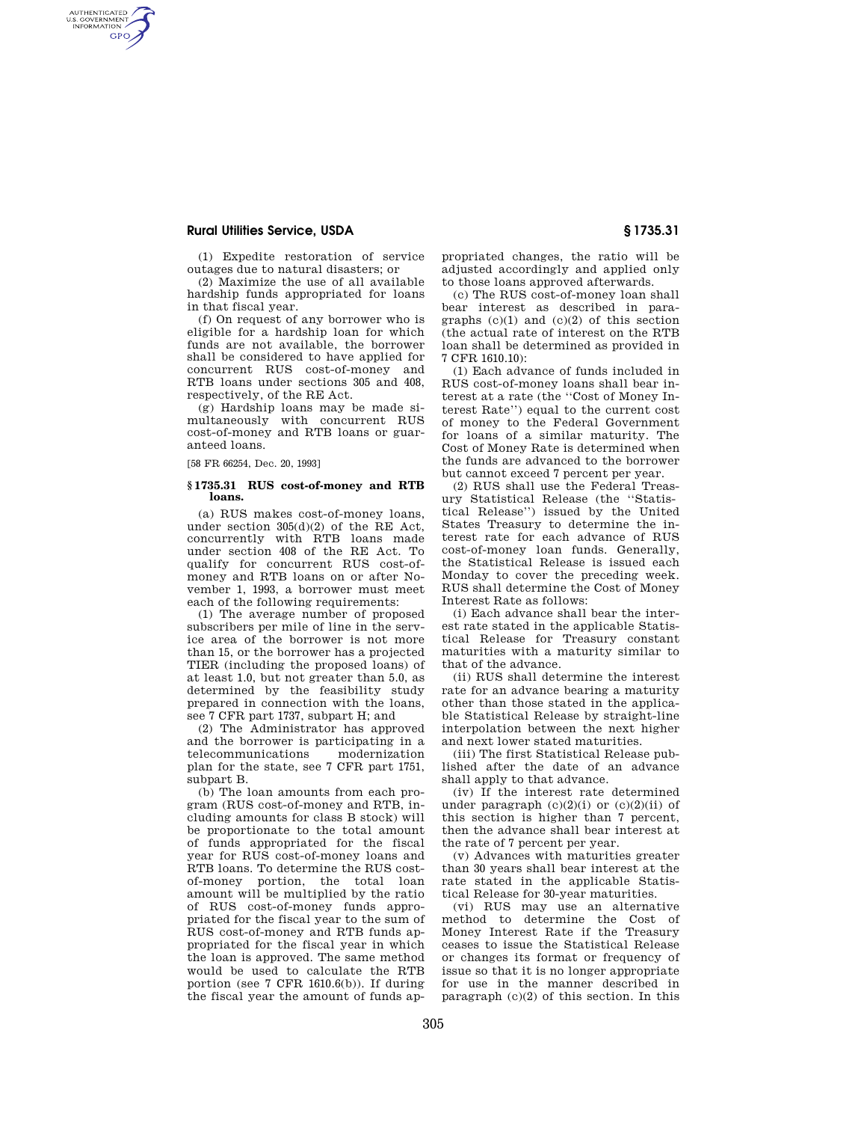## **Rural Utilities Service, USDA § 1735.31**

AUTHENTICATED<br>U.S. GOVERNMENT<br>INFORMATION **GPO** 

> (1) Expedite restoration of service outages due to natural disasters; or

> (2) Maximize the use of all available hardship funds appropriated for loans in that fiscal year.

> (f) On request of any borrower who is eligible for a hardship loan for which funds are not available, the borrower shall be considered to have applied for concurrent RUS cost-of-money and RTB loans under sections 305 and 408, respectively, of the RE Act.

(g) Hardship loans may be made simultaneously with concurrent RUS cost-of-money and RTB loans or guaranteed loans.

[58 FR 66254, Dec. 20, 1993]

## **§ 1735.31 RUS cost-of-money and RTB loans.**

(a) RUS makes cost-of-money loans, under section 305(d)(2) of the RE Act, concurrently with RTB loans made under section 408 of the RE Act. To qualify for concurrent RUS cost-ofmoney and RTB loans on or after November 1, 1993, a borrower must meet each of the following requirements:

(1) The average number of proposed subscribers per mile of line in the service area of the borrower is not more than 15, or the borrower has a projected TIER (including the proposed loans) of at least 1.0, but not greater than 5.0, as determined by the feasibility study prepared in connection with the loans, see 7 CFR part 1737, subpart H; and

(2) The Administrator has approved and the borrower is participating in a telecommunications modernization plan for the state, see 7 CFR part 1751, subpart B.

(b) The loan amounts from each program (RUS cost-of-money and RTB, including amounts for class B stock) will be proportionate to the total amount of funds appropriated for the fiscal year for RUS cost-of-money loans and RTB loans. To determine the RUS costof-money portion, the total loan amount will be multiplied by the ratio of RUS cost-of-money funds appropriated for the fiscal year to the sum of RUS cost-of-money and RTB funds appropriated for the fiscal year in which the loan is approved. The same method would be used to calculate the RTB portion (see 7 CFR 1610.6(b)). If during the fiscal year the amount of funds appropriated changes, the ratio will be adjusted accordingly and applied only to those loans approved afterwards.

(c) The RUS cost-of-money loan shall bear interest as described in paragraphs  $(c)(1)$  and  $(c)(2)$  of this section (the actual rate of interest on the RTB loan shall be determined as provided in 7 CFR 1610.10):

(1) Each advance of funds included in RUS cost-of-money loans shall bear interest at a rate (the ''Cost of Money Interest Rate'') equal to the current cost of money to the Federal Government for loans of a similar maturity. The Cost of Money Rate is determined when the funds are advanced to the borrower but cannot exceed 7 percent per year.

(2) RUS shall use the Federal Treasury Statistical Release (the ''Statistical Release'') issued by the United States Treasury to determine the interest rate for each advance of RUS cost-of-money loan funds. Generally, the Statistical Release is issued each Monday to cover the preceding week. RUS shall determine the Cost of Money Interest Rate as follows:

(i) Each advance shall bear the interest rate stated in the applicable Statistical Release for Treasury constant maturities with a maturity similar to that of the advance.

(ii) RUS shall determine the interest rate for an advance bearing a maturity other than those stated in the applicable Statistical Release by straight-line interpolation between the next higher and next lower stated maturities.

(iii) The first Statistical Release published after the date of an advance shall apply to that advance.

(iv) If the interest rate determined under paragraph  $(c)(2)(i)$  or  $(c)(2)(ii)$  of this section is higher than 7 percent, then the advance shall bear interest at the rate of 7 percent per year.

(v) Advances with maturities greater than 30 years shall bear interest at the rate stated in the applicable Statistical Release for 30-year maturities.

(vi) RUS may use an alternative method to determine the Cost of Money Interest Rate if the Treasury ceases to issue the Statistical Release or changes its format or frequency of issue so that it is no longer appropriate for use in the manner described in paragraph  $(c)(2)$  of this section. In this